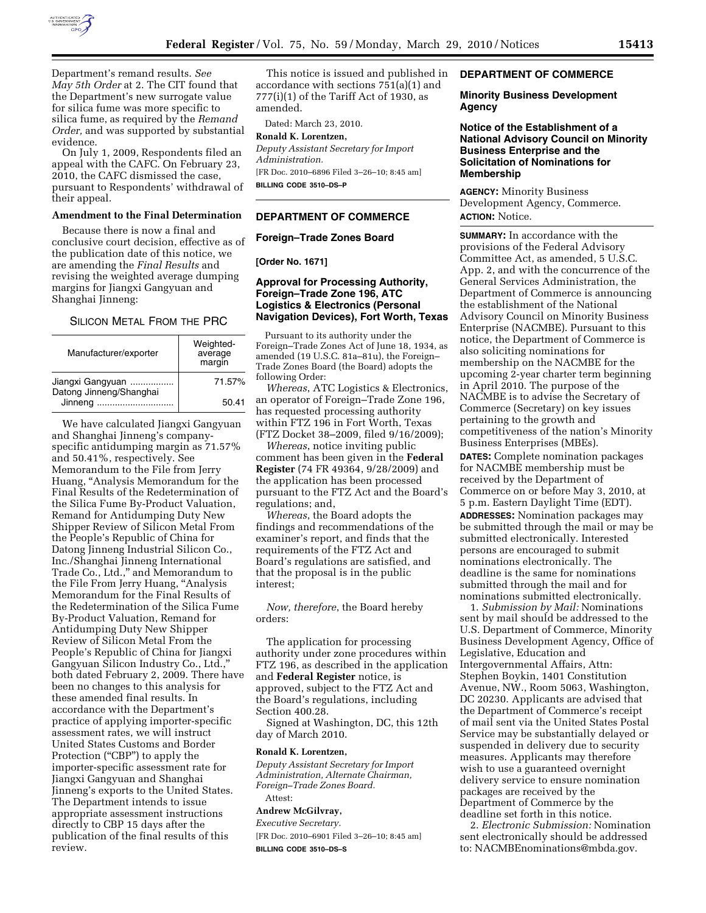

Department's remand results. *See May 5th Order* at 2. The CIT found that the Department's new surrogate value for silica fume was more specific to silica fume, as required by the *Remand Order,* and was supported by substantial evidence.

On July 1, 2009, Respondents filed an appeal with the CAFC. On February 23, 2010, the CAFC dismissed the case, pursuant to Respondents' withdrawal of their appeal.

## **Amendment to the Final Determination**

Because there is now a final and conclusive court decision, effective as of the publication date of this notice, we are amending the *Final Results* and revising the weighted average dumping margins for Jiangxi Gangyuan and Shanghai Jinneng:

#### SILICON METAL FROM THE PRC

| Manufacturer/exporter                                  | Weighted-<br>average<br>margin |
|--------------------------------------------------------|--------------------------------|
| Jiangxi Gangyuan<br>Datong Jinneng/Shanghai<br>Jinneng | 71.57%                         |
|                                                        | 50.41                          |

We have calculated Jiangxi Gangyuan and Shanghai Jinneng's companyspecific antidumping margin as 71.57% and 50.41%, respectively. See Memorandum to the File from Jerry Huang, ''Analysis Memorandum for the Final Results of the Redetermination of the Silica Fume By-Product Valuation, Remand for Antidumping Duty New Shipper Review of Silicon Metal From the People's Republic of China for Datong Jinneng Industrial Silicon Co., Inc./Shanghai Jinneng International Trade Co., Ltd.,'' and Memorandum to the File From Jerry Huang, ''Analysis Memorandum for the Final Results of the Redetermination of the Silica Fume By-Product Valuation, Remand for Antidumping Duty New Shipper Review of Silicon Metal From the People's Republic of China for Jiangxi Gangyuan Silicon Industry Co., Ltd.,'' both dated February 2, 2009. There have been no changes to this analysis for these amended final results. In accordance with the Department's practice of applying importer-specific assessment rates, we will instruct United States Customs and Border Protection ("CBP") to apply the importer-specific assessment rate for Jiangxi Gangyuan and Shanghai Jinneng's exports to the United States. The Department intends to issue appropriate assessment instructions directly to CBP 15 days after the publication of the final results of this review.

This notice is issued and published in accordance with sections 751(a)(1) and  $777(i)(1)$  of the Tariff Act of 1930, as amended.

Dated: March 23, 2010.

## **Ronald K. Lorentzen,**

*Deputy Assistant Secretary for Import Administration.*  [FR Doc. 2010–6896 Filed 3–26–10; 8:45 am]

**BILLING CODE 3510–DS–P** 

## **DEPARTMENT OF COMMERCE**

### **Foreign–Trade Zones Board**

**[Order No. 1671]** 

## **Approval for Processing Authority, Foreign–Trade Zone 196, ATC Logistics & Electronics (Personal Navigation Devices), Fort Worth, Texas**

Pursuant to its authority under the Foreign–Trade Zones Act of June 18, 1934, as amended (19 U.S.C. 81a–81u), the Foreign– Trade Zones Board (the Board) adopts the following Order:

*Whereas*, ATC Logistics & Electronics, an operator of Foreign–Trade Zone 196, has requested processing authority within FTZ 196 in Fort Worth, Texas (FTZ Docket 38–2009, filed 9/16/2009);

*Whereas*, notice inviting public comment has been given in the **Federal Register** (74 FR 49364, 9/28/2009) and the application has been processed pursuant to the FTZ Act and the Board's regulations; and,

*Whereas*, the Board adopts the findings and recommendations of the examiner's report, and finds that the requirements of the FTZ Act and Board's regulations are satisfied, and that the proposal is in the public interest;

*Now, therefore*, the Board hereby orders:

The application for processing authority under zone procedures within FTZ 196, as described in the application and **Federal Register** notice, is approved, subject to the FTZ Act and the Board's regulations, including Section 400.28.

Signed at Washington, DC, this 12th day of March 2010.

#### **Ronald K. Lorentzen,**

*Deputy Assistant Secretary for Import Administration, Alternate Chairman, Foreign–Trade Zones Board.*  Attest:

#### **Andrew McGilvray,**

*Executive Secretary.*  [FR Doc. 2010–6901 Filed 3–26–10; 8:45 am] **BILLING CODE 3510–DS–S** 

## **DEPARTMENT OF COMMERCE**

#### **Minority Business Development Agency**

## **Notice of the Establishment of a National Advisory Council on Minority Business Enterprise and the Solicitation of Nominations for Membership**

**AGENCY:** Minority Business Development Agency, Commerce. **ACTION:** Notice.

**SUMMARY:** In accordance with the provisions of the Federal Advisory Committee Act, as amended, 5 U.S.C. App. 2, and with the concurrence of the General Services Administration, the Department of Commerce is announcing the establishment of the National Advisory Council on Minority Business Enterprise (NACMBE). Pursuant to this notice, the Department of Commerce is also soliciting nominations for membership on the NACMBE for the upcoming 2-year charter term beginning in April 2010. The purpose of the NACMBE is to advise the Secretary of Commerce (Secretary) on key issues pertaining to the growth and competitiveness of the nation's Minority Business Enterprises (MBEs). **DATES:** Complete nomination packages for NACMBE membership must be received by the Department of Commerce on or before May 3, 2010, at 5 p.m. Eastern Daylight Time (EDT). **ADDRESSES:** Nomination packages may be submitted through the mail or may be submitted electronically. Interested persons are encouraged to submit nominations electronically. The deadline is the same for nominations submitted through the mail and for nominations submitted electronically.

1. *Submission by Mail:* Nominations sent by mail should be addressed to the U.S. Department of Commerce, Minority Business Development Agency, Office of Legislative, Education and Intergovernmental Affairs, Attn: Stephen Boykin, 1401 Constitution Avenue, NW., Room 5063, Washington, DC 20230. Applicants are advised that the Department of Commerce's receipt of mail sent via the United States Postal Service may be substantially delayed or suspended in delivery due to security measures. Applicants may therefore wish to use a guaranteed overnight delivery service to ensure nomination packages are received by the Department of Commerce by the deadline set forth in this notice.

2. *Electronic Submission:* Nomination sent electronically should be addressed to: NACMBEnominations@mbda.gov.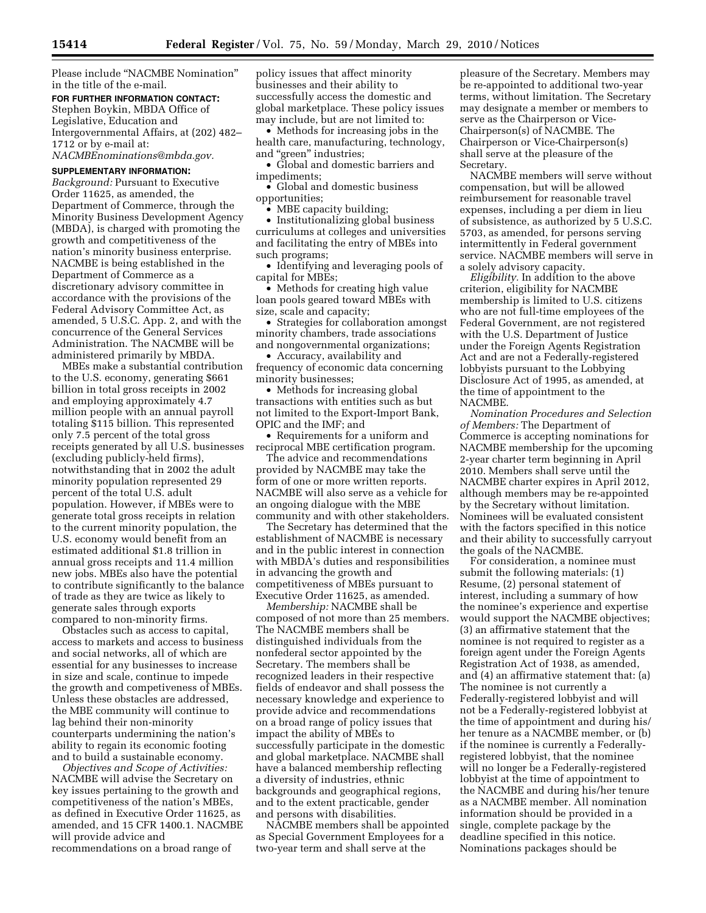Please include ''NACMBE Nomination'' in the title of the e-mail.

## **FOR FURTHER INFORMATION CONTACT:**

Stephen Boykin, MBDA Office of Legislative, Education and Intergovernmental Affairs, at (202) 482– 1712 or by e-mail at: *NACMBEnominations@mbda.gov.* 

## **SUPPLEMENTARY INFORMATION:**

*Background:* Pursuant to Executive Order 11625, as amended, the Department of Commerce, through the Minority Business Development Agency (MBDA), is charged with promoting the growth and competitiveness of the nation's minority business enterprise. NACMBE is being established in the Department of Commerce as a discretionary advisory committee in accordance with the provisions of the Federal Advisory Committee Act, as amended, 5 U.S.C. App. 2, and with the concurrence of the General Services Administration. The NACMBE will be administered primarily by MBDA.

MBEs make a substantial contribution to the U.S. economy, generating \$661 billion in total gross receipts in 2002 and employing approximately 4.7 million people with an annual payroll totaling \$115 billion. This represented only 7.5 percent of the total gross receipts generated by all U.S. businesses (excluding publicly-held firms), notwithstanding that in 2002 the adult minority population represented 29 percent of the total U.S. adult population. However, if MBEs were to generate total gross receipts in relation to the current minority population, the U.S. economy would benefit from an estimated additional \$1.8 trillion in annual gross receipts and 11.4 million new jobs. MBEs also have the potential to contribute significantly to the balance of trade as they are twice as likely to generate sales through exports compared to non-minority firms.

Obstacles such as access to capital, access to markets and access to business and social networks, all of which are essential for any businesses to increase in size and scale, continue to impede the growth and competiveness of MBEs. Unless these obstacles are addressed, the MBE community will continue to lag behind their non-minority counterparts undermining the nation's ability to regain its economic footing and to build a sustainable economy.

*Objectives and Scope of Activities:*  NACMBE will advise the Secretary on key issues pertaining to the growth and competitiveness of the nation's MBEs, as defined in Executive Order 11625, as amended, and 15 CFR 1400.1. NACMBE will provide advice and recommendations on a broad range of

policy issues that affect minority businesses and their ability to successfully access the domestic and global marketplace. These policy issues may include, but are not limited to:

• Methods for increasing jobs in the health care, manufacturing, technology, and "green" industries;

• Global and domestic barriers and impediments;

• Global and domestic business opportunities;

• MBE capacity building;

• Institutionalizing global business curriculums at colleges and universities and facilitating the entry of MBEs into such programs;

• Identifying and leveraging pools of capital for MBEs;

• Methods for creating high value loan pools geared toward MBEs with size, scale and capacity;

• Strategies for collaboration amongst minority chambers, trade associations and nongovernmental organizations;

• Accuracy, availability and frequency of economic data concerning minority businesses;

• Methods for increasing global transactions with entities such as but not limited to the Export-Import Bank, OPIC and the IMF; and

• Requirements for a uniform and reciprocal MBE certification program.

The advice and recommendations provided by NACMBE may take the form of one or more written reports. NACMBE will also serve as a vehicle for an ongoing dialogue with the MBE community and with other stakeholders.

The Secretary has determined that the establishment of NACMBE is necessary and in the public interest in connection with MBDA's duties and responsibilities in advancing the growth and competitiveness of MBEs pursuant to Executive Order 11625, as amended.

*Membership:* NACMBE shall be composed of not more than 25 members. The NACMBE members shall be distinguished individuals from the nonfederal sector appointed by the Secretary. The members shall be recognized leaders in their respective fields of endeavor and shall possess the necessary knowledge and experience to provide advice and recommendations on a broad range of policy issues that impact the ability of MBEs to successfully participate in the domestic and global marketplace. NACMBE shall have a balanced membership reflecting a diversity of industries, ethnic backgrounds and geographical regions, and to the extent practicable, gender and persons with disabilities.

NACMBE members shall be appointed as Special Government Employees for a two-year term and shall serve at the

pleasure of the Secretary. Members may be re-appointed to additional two-year terms, without limitation. The Secretary may designate a member or members to serve as the Chairperson or Vice-Chairperson(s) of NACMBE. The Chairperson or Vice-Chairperson(s) shall serve at the pleasure of the Secretary.

NACMBE members will serve without compensation, but will be allowed reimbursement for reasonable travel expenses, including a per diem in lieu of subsistence, as authorized by 5 U.S.C. 5703, as amended, for persons serving intermittently in Federal government service. NACMBE members will serve in a solely advisory capacity.

*Eligibility.* In addition to the above criterion, eligibility for NACMBE membership is limited to U.S. citizens who are not full-time employees of the Federal Government, are not registered with the U.S. Department of Justice under the Foreign Agents Registration Act and are not a Federally-registered lobbyists pursuant to the Lobbying Disclosure Act of 1995, as amended, at the time of appointment to the NACMBE.

*Nomination Procedures and Selection of Members:* The Department of Commerce is accepting nominations for NACMBE membership for the upcoming 2-year charter term beginning in April 2010. Members shall serve until the NACMBE charter expires in April 2012, although members may be re-appointed by the Secretary without limitation. Nominees will be evaluated consistent with the factors specified in this notice and their ability to successfully carryout the goals of the NACMBE.

For consideration, a nominee must submit the following materials: (1) Resume, (2) personal statement of interest, including a summary of how the nominee's experience and expertise would support the NACMBE objectives; (3) an affirmative statement that the nominee is not required to register as a foreign agent under the Foreign Agents Registration Act of 1938, as amended, and (4) an affirmative statement that: (a) The nominee is not currently a Federally-registered lobbyist and will not be a Federally-registered lobbyist at the time of appointment and during his/ her tenure as a NACMBE member, or (b) if the nominee is currently a Federallyregistered lobbyist, that the nominee will no longer be a Federally-registered lobbyist at the time of appointment to the NACMBE and during his/her tenure as a NACMBE member. All nomination information should be provided in a single, complete package by the deadline specified in this notice. Nominations packages should be